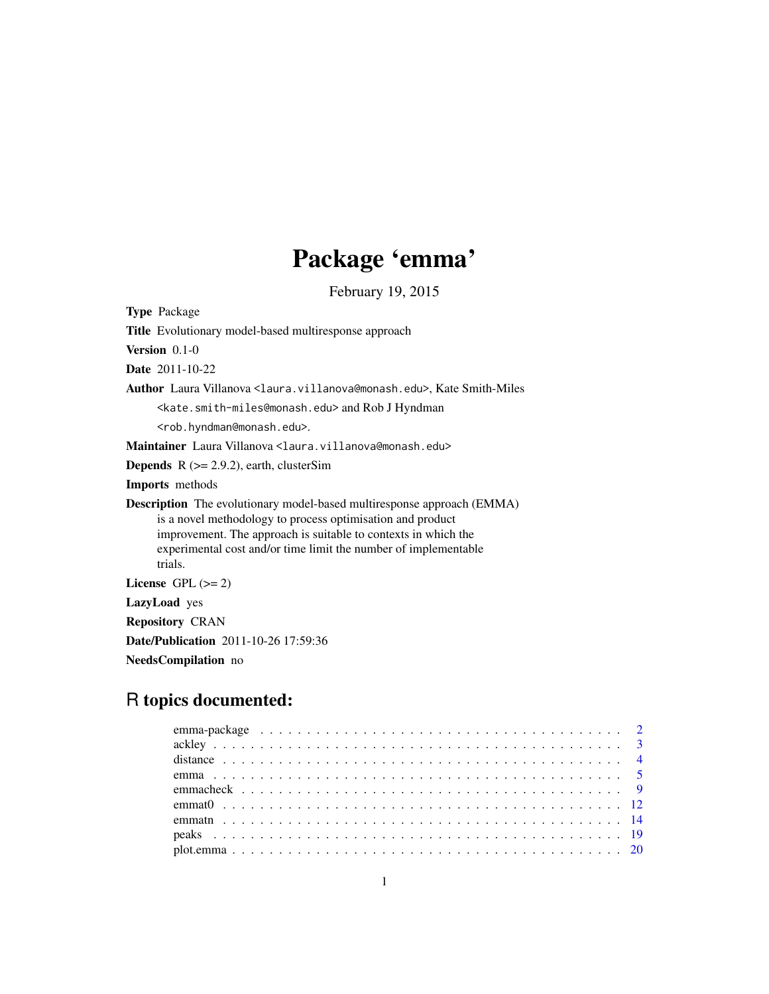# Package 'emma'

February 19, 2015

Type Package Title Evolutionary model-based multiresponse approach Version 0.1-0 Date 2011-10-22 Author Laura Villanova <laura.villanova@monash.edu>, Kate Smith-Miles <kate.smith-miles@monash.edu> and Rob J Hyndman <rob.hyndman@monash.edu>. Maintainer Laura Villanova <laura.villanova@monash.edu> **Depends** R  $(>= 2.9.2)$ , earth, clusterSim Imports methods Description The evolutionary model-based multiresponse approach (EMMA) is a novel methodology to process optimisation and product improvement. The approach is suitable to contexts in which the experimental cost and/or time limit the number of implementable trials. License GPL  $(>= 2)$ LazyLoad yes Repository CRAN Date/Publication 2011-10-26 17:59:36 NeedsCompilation no

# R topics documented:

| distance $\ldots \ldots \ldots \ldots \ldots \ldots \ldots \ldots \ldots \ldots \ldots \ldots \ldots$ |  |
|-------------------------------------------------------------------------------------------------------|--|
|                                                                                                       |  |
|                                                                                                       |  |
|                                                                                                       |  |
|                                                                                                       |  |
|                                                                                                       |  |
|                                                                                                       |  |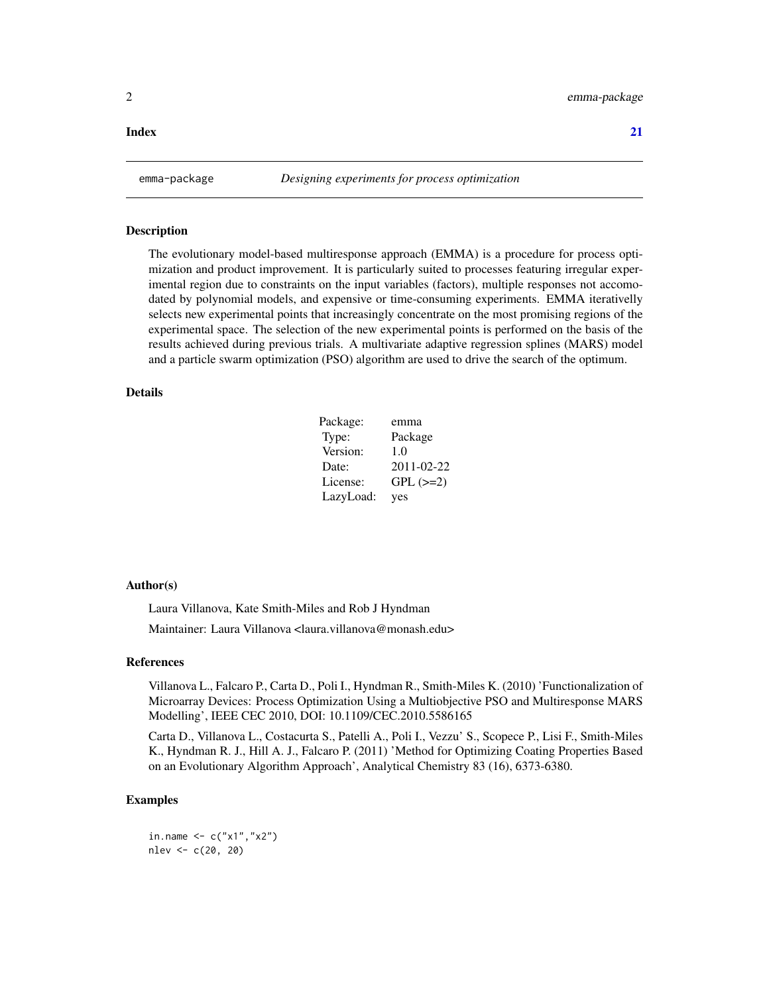#### <span id="page-1-0"></span>**Index** [21](#page-20-0)

emma-package *Designing experiments for process optimization*

#### Description

The evolutionary model-based multiresponse approach (EMMA) is a procedure for process optimization and product improvement. It is particularly suited to processes featuring irregular experimental region due to constraints on the input variables (factors), multiple responses not accomodated by polynomial models, and expensive or time-consuming experiments. EMMA iterativelly selects new experimental points that increasingly concentrate on the most promising regions of the experimental space. The selection of the new experimental points is performed on the basis of the results achieved during previous trials. A multivariate adaptive regression splines (MARS) model and a particle swarm optimization (PSO) algorithm are used to drive the search of the optimum.

# Details

| Package:  | emma          |
|-----------|---------------|
| Type:     | Package       |
| Version:  | 1.0           |
| Date:     | 2011-02-22    |
| License:  | $GPL$ $(>=2)$ |
| LazyLoad: | yes           |

#### Author(s)

Laura Villanova, Kate Smith-Miles and Rob J Hyndman Maintainer: Laura Villanova <laura.villanova@monash.edu>

#### References

Villanova L., Falcaro P., Carta D., Poli I., Hyndman R., Smith-Miles K. (2010) 'Functionalization of Microarray Devices: Process Optimization Using a Multiobjective PSO and Multiresponse MARS Modelling', IEEE CEC 2010, DOI: 10.1109/CEC.2010.5586165

Carta D., Villanova L., Costacurta S., Patelli A., Poli I., Vezzu' S., Scopece P., Lisi F., Smith-Miles K., Hyndman R. J., Hill A. J., Falcaro P. (2011) 'Method for Optimizing Coating Properties Based on an Evolutionary Algorithm Approach', Analytical Chemistry 83 (16), 6373-6380.

## Examples

in.name  $\leq -c("x1", "x2")$ nlev <- c(20, 20)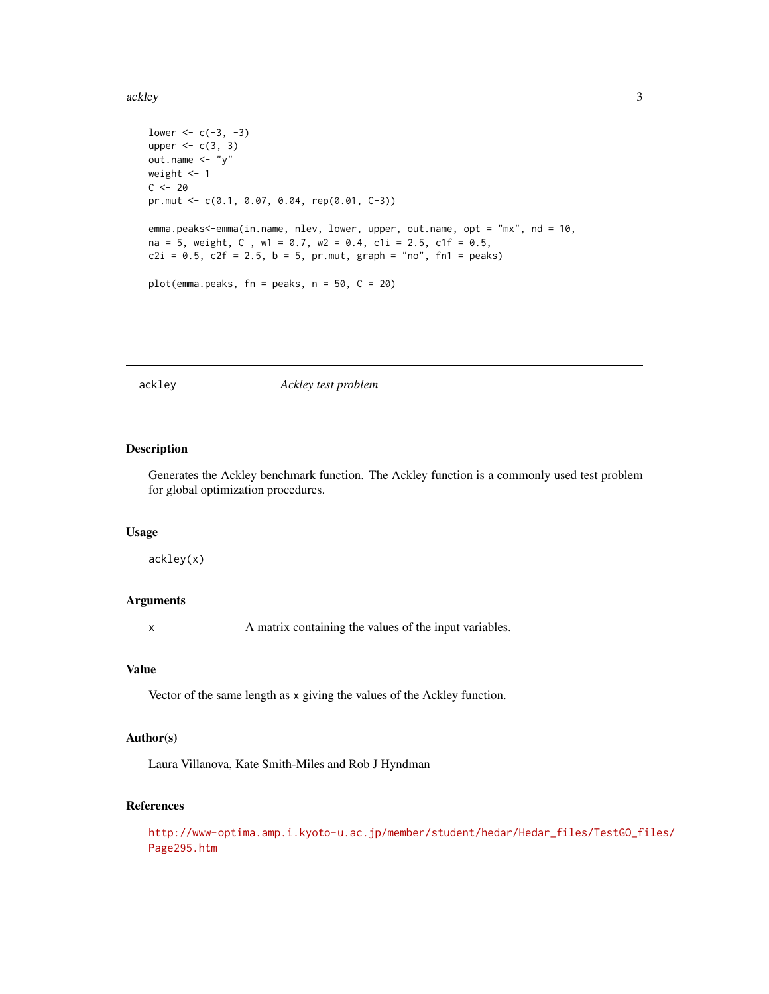#### <span id="page-2-0"></span>ackley 33

```
lower <-c(-3, -3)upper \leq c(3, 3)out.name <- "y"
weight <- 1
C < - 20pr.mut <- c(0.1, 0.07, 0.04, rep(0.01, C-3))
emma.peaks<-emma(in.name, nlev, lower, upper, out.name, opt = "mx", nd = 10,
na = 5, weight, C , w1 = 0.7, w2 = 0.4, c1i = 2.5, c1f = 0.5,
c2i = 0.5, c2f = 2.5, b = 5, pr.mut, graph = "no", fn1 = peaks)plot(emma.peaks, fn = peaks, n = 50, C = 20)
```
#### ackley *Ackley test problem*

# Description

Generates the Ackley benchmark function. The Ackley function is a commonly used test problem for global optimization procedures.

### Usage

ackley(x)

# Arguments

x A matrix containing the values of the input variables.

#### Value

Vector of the same length as x giving the values of the Ackley function.

# Author(s)

Laura Villanova, Kate Smith-Miles and Rob J Hyndman

# References

[http://www-optima.amp.i.kyoto-u.ac.jp/member/student/hedar/Hedar\\_files/TestGO\\_fi](http://www-optima.amp.i.kyoto-u.ac.jp/member/student/hedar/Hedar_files/TestGO_files/Page295.htm)les/ [Page295.htm](http://www-optima.amp.i.kyoto-u.ac.jp/member/student/hedar/Hedar_files/TestGO_files/Page295.htm)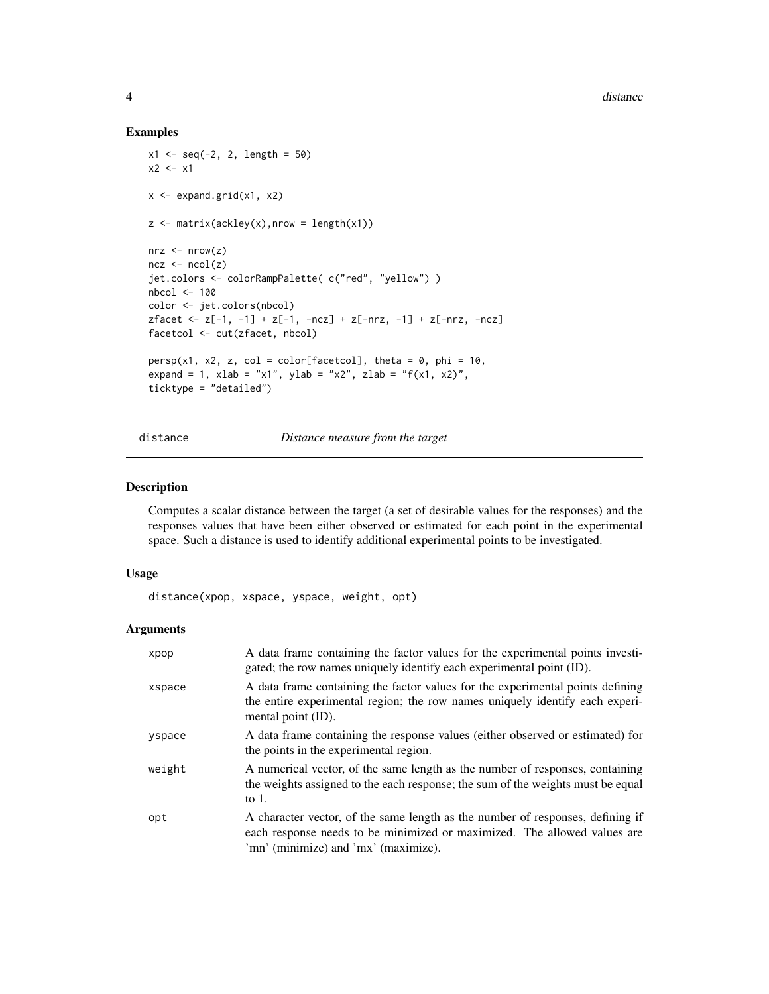#### Examples

```
x1 \leq -\text{seq}(-2, 2, \text{length} = 50)x2 \leq -x1x \leftarrow expand.grid(x1, x2)
z \le matrix(ackley(x), nrow = length(x1))
nrz < -nrow(z)ncz < -ncol(z)jet.colors <- colorRampPalette( c("red", "yellow") )
nbcol <- 100
color <- jet.colors(nbcol)
zfacet <- z[-1, -1] + z[-1, -ncz] + z[-nrz, -1] + z[-nrz, -ncz]
facetcol <- cut(zfacet, nbcol)
persp(x1, x2, z, col = color[factor], theta = 0, phi = 10,expand = 1, xlab = "x1", ylab = "x2", zlab = "f(x1, x2)",
ticktype = "detailed")
```
distance *Distance measure from the target*

#### Description

Computes a scalar distance between the target (a set of desirable values for the responses) and the responses values that have been either observed or estimated for each point in the experimental space. Such a distance is used to identify additional experimental points to be investigated.

#### Usage

distance(xpop, xspace, yspace, weight, opt)

| xpop   | A data frame containing the factor values for the experimental points investi-<br>gated; the row names uniquely identify each experimental point (ID).                                             |
|--------|----------------------------------------------------------------------------------------------------------------------------------------------------------------------------------------------------|
| xspace | A data frame containing the factor values for the experimental points defining<br>the entire experimental region; the row names uniquely identify each experi-<br>mental point (ID).               |
| yspace | A data frame containing the response values (either observed or estimated) for<br>the points in the experimental region.                                                                           |
| weight | A numerical vector, of the same length as the number of responses, containing<br>the weights assigned to the each response; the sum of the weights must be equal<br>to $1$ .                       |
| opt    | A character vector, of the same length as the number of responses, defining if<br>each response needs to be minimized or maximized. The allowed values are<br>'mn' (minimize) and 'mx' (maximize). |

<span id="page-3-0"></span>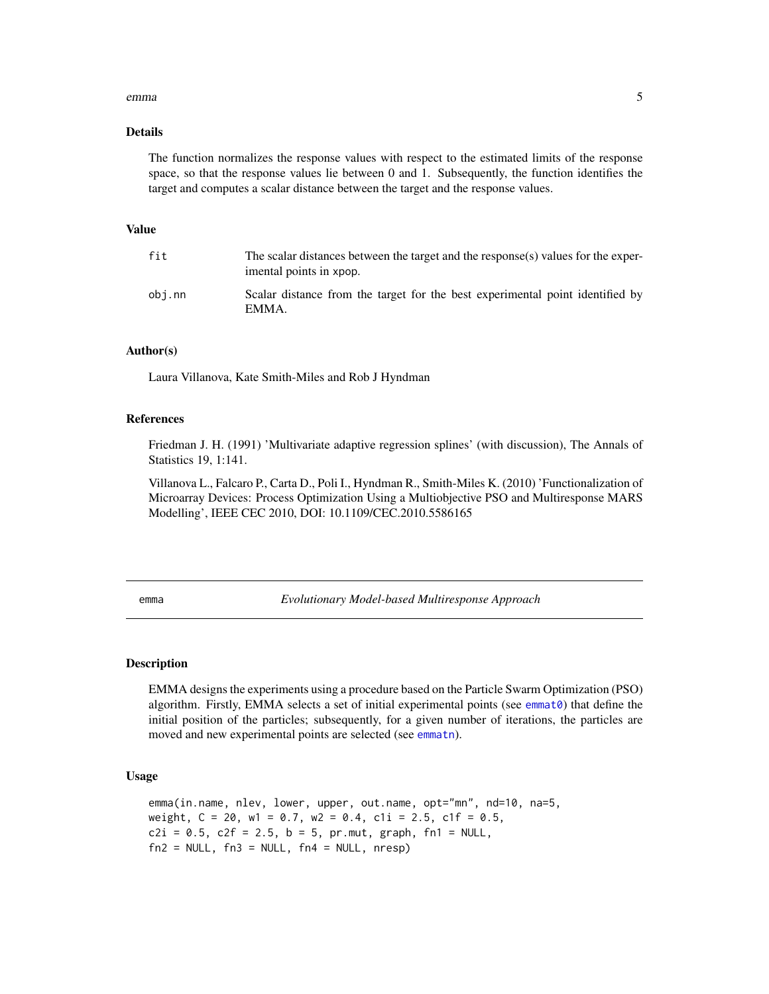#### <span id="page-4-0"></span>emma 5

# Details

The function normalizes the response values with respect to the estimated limits of the response space, so that the response values lie between 0 and 1. Subsequently, the function identifies the target and computes a scalar distance between the target and the response values.

#### Value

| fit    | The scalar distances between the target and the response(s) values for the exper-<br>imental points in xpop. |
|--------|--------------------------------------------------------------------------------------------------------------|
| obi.nn | Scalar distance from the target for the best experimental point identified by<br>EMMA.                       |

#### Author(s)

Laura Villanova, Kate Smith-Miles and Rob J Hyndman

#### References

Friedman J. H. (1991) 'Multivariate adaptive regression splines' (with discussion), The Annals of Statistics 19, 1:141.

Villanova L., Falcaro P., Carta D., Poli I., Hyndman R., Smith-Miles K. (2010) 'Functionalization of Microarray Devices: Process Optimization Using a Multiobjective PSO and Multiresponse MARS Modelling', IEEE CEC 2010, DOI: 10.1109/CEC.2010.5586165

<span id="page-4-1"></span>emma *Evolutionary Model-based Multiresponse Approach*

# **Description**

EMMA designs the experiments using a procedure based on the Particle Swarm Optimization (PSO) algorithm. Firstly, EMMA selects a set of initial experimental points (see [emmat0](#page-11-1)) that define the initial position of the particles; subsequently, for a given number of iterations, the particles are moved and new experimental points are selected (see [emmatn](#page-13-1)).

#### Usage

emma(in.name, nlev, lower, upper, out.name, opt="mn", nd=10, na=5, weight,  $C = 20$ , w1 = 0.7, w2 = 0.4, c1i = 2.5, c1f = 0.5,  $c2i = 0.5$ ,  $c2f = 2.5$ ,  $b = 5$ ,  $pr.mut$ ,  $graph$ ,  $fn1 = NULL$ ,  $fn2 = NULL, fn3 = NULL, fn4 = NULL, nresp)$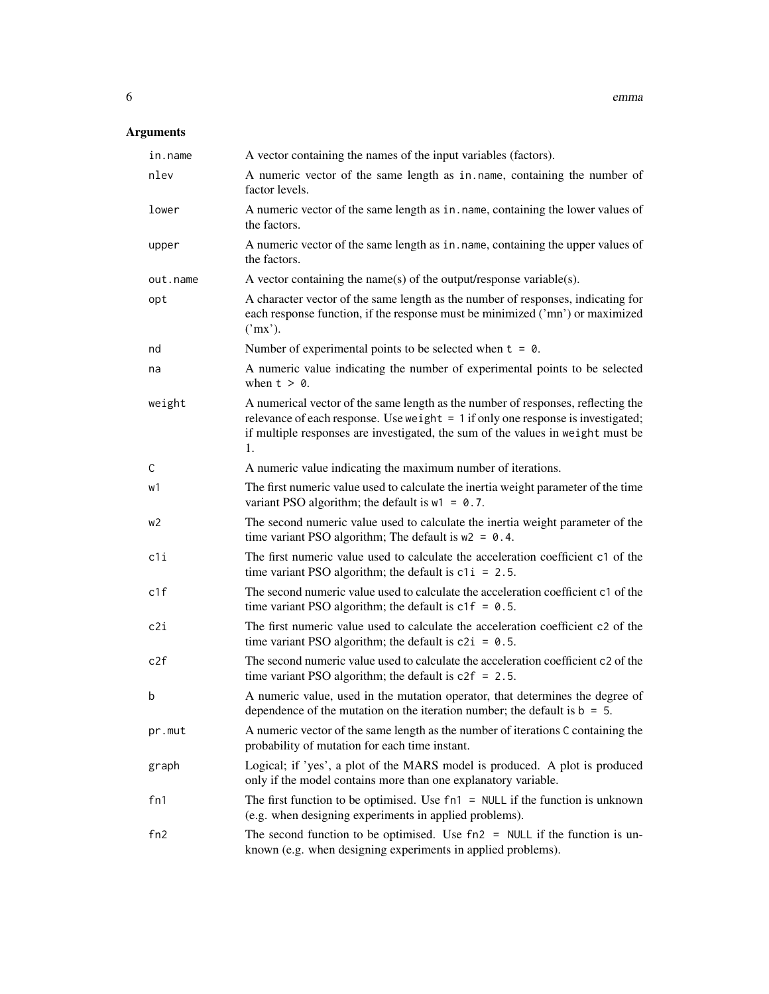| in.name  | A vector containing the names of the input variables (factors).                                                                                                                                                                                                 |
|----------|-----------------------------------------------------------------------------------------------------------------------------------------------------------------------------------------------------------------------------------------------------------------|
| nlev     | A numeric vector of the same length as in name, containing the number of<br>factor levels.                                                                                                                                                                      |
| lower    | A numeric vector of the same length as in . name, containing the lower values of<br>the factors.                                                                                                                                                                |
| upper    | A numeric vector of the same length as in. name, containing the upper values of<br>the factors.                                                                                                                                                                 |
| out.name | A vector containing the name(s) of the output/response variable(s).                                                                                                                                                                                             |
| opt      | A character vector of the same length as the number of responses, indicating for<br>each response function, if the response must be minimized ('mn') or maximized<br>('mx').                                                                                    |
| nd       | Number of experimental points to be selected when $t = 0$ .                                                                                                                                                                                                     |
| na       | A numeric value indicating the number of experimental points to be selected<br>when $t > 0$ .                                                                                                                                                                   |
| weight   | A numerical vector of the same length as the number of responses, reflecting the<br>relevance of each response. Use weight $= 1$ if only one response is investigated;<br>if multiple responses are investigated, the sum of the values in weight must be<br>1. |
| C        | A numeric value indicating the maximum number of iterations.                                                                                                                                                                                                    |
| w1       | The first numeric value used to calculate the inertia weight parameter of the time<br>variant PSO algorithm; the default is $w1 = 0.7$ .                                                                                                                        |
| w2       | The second numeric value used to calculate the inertia weight parameter of the<br>time variant PSO algorithm; The default is $w2 = 0.4$ .                                                                                                                       |
| c1i      | The first numeric value used to calculate the acceleration coefficient c1 of the<br>time variant PSO algorithm; the default is $c1i = 2.5$ .                                                                                                                    |
| c1f      | The second numeric value used to calculate the acceleration coefficient c1 of the<br>time variant PSO algorithm; the default is $c1f = 0.5$ .                                                                                                                   |
| c2i      | The first numeric value used to calculate the acceleration coefficient c2 of the<br>time variant PSO algorithm; the default is $c2i = 0.5$ .                                                                                                                    |
| c2f      | The second numeric value used to calculate the acceleration coefficient c2 of the<br>time variant PSO algorithm; the default is $c2f = 2.5$ .                                                                                                                   |
| b        | A numeric value, used in the mutation operator, that determines the degree of<br>dependence of the mutation on the iteration number; the default is $b = 5$ .                                                                                                   |
| pr.mut   | A numeric vector of the same length as the number of iterations C containing the<br>probability of mutation for each time instant.                                                                                                                              |
| graph    | Logical; if 'yes', a plot of the MARS model is produced. A plot is produced<br>only if the model contains more than one explanatory variable.                                                                                                                   |
| fn1      | The first function to be optimised. Use $fn1 = NULL$ if the function is unknown<br>(e.g. when designing experiments in applied problems).                                                                                                                       |
| fn2      | The second function to be optimised. Use $fn2 = NULL$ if the function is un-<br>known (e.g. when designing experiments in applied problems).                                                                                                                    |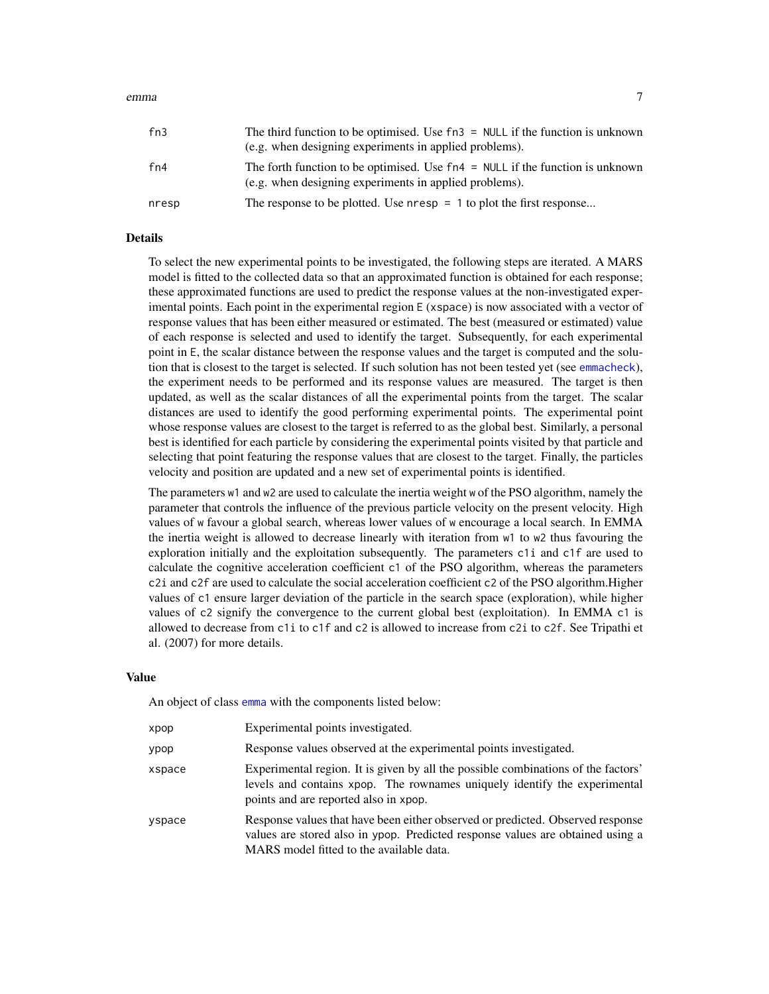#### <span id="page-6-0"></span>emma 7

| fn3   | The third function to be optimised. Use $fn3 = NULL$ if the function is unknown<br>(e.g. when designing experiments in applied problems). |
|-------|-------------------------------------------------------------------------------------------------------------------------------------------|
| fn4   | The forth function to be optimised. Use $fn4 = NULL$ if the function is unknown<br>(e.g. when designing experiments in applied problems). |
| nresp | The response to be plotted. Use $n$ resp = 1 to plot the first response                                                                   |

#### Details

To select the new experimental points to be investigated, the following steps are iterated. A MARS model is fitted to the collected data so that an approximated function is obtained for each response; these approximated functions are used to predict the response values at the non-investigated experimental points. Each point in the experimental region E (xspace) is now associated with a vector of response values that has been either measured or estimated. The best (measured or estimated) value of each response is selected and used to identify the target. Subsequently, for each experimental point in E, the scalar distance between the response values and the target is computed and the solution that is closest to the target is selected. If such solution has not been tested yet (see [emmacheck](#page-8-1)), the experiment needs to be performed and its response values are measured. The target is then updated, as well as the scalar distances of all the experimental points from the target. The scalar distances are used to identify the good performing experimental points. The experimental point whose response values are closest to the target is referred to as the global best. Similarly, a personal best is identified for each particle by considering the experimental points visited by that particle and selecting that point featuring the response values that are closest to the target. Finally, the particles velocity and position are updated and a new set of experimental points is identified.

The parameters w1 and w2 are used to calculate the inertia weight w of the PSO algorithm, namely the parameter that controls the influence of the previous particle velocity on the present velocity. High values of w favour a global search, whereas lower values of w encourage a local search. In EMMA the inertia weight is allowed to decrease linearly with iteration from w1 to w2 thus favouring the exploration initially and the exploitation subsequently. The parameters c1i and c1f are used to calculate the cognitive acceleration coefficient c1 of the PSO algorithm, whereas the parameters c2i and c2f are used to calculate the social acceleration coefficient c2 of the PSO algorithm.Higher values of c1 ensure larger deviation of the particle in the search space (exploration), while higher values of c2 signify the convergence to the current global best (exploitation). In EMMA c1 is allowed to decrease from c1i to c1f and c2 is allowed to increase from c2i to c2f. See Tripathi et al. (2007) for more details.

#### Value

An object of class [emma](#page-4-1) with the components listed below:

| xpop   | Experimental points investigated.                                                                                                                                                                            |
|--------|--------------------------------------------------------------------------------------------------------------------------------------------------------------------------------------------------------------|
| ypop   | Response values observed at the experimental points investigated.                                                                                                                                            |
| xspace | Experimental region. It is given by all the possible combinations of the factors'<br>levels and contains xpop. The rownames uniquely identify the experimental<br>points and are reported also in xpop.      |
| vspace | Response values that have been either observed or predicted. Observed response<br>values are stored also in ypop. Predicted response values are obtained using a<br>MARS model fitted to the available data. |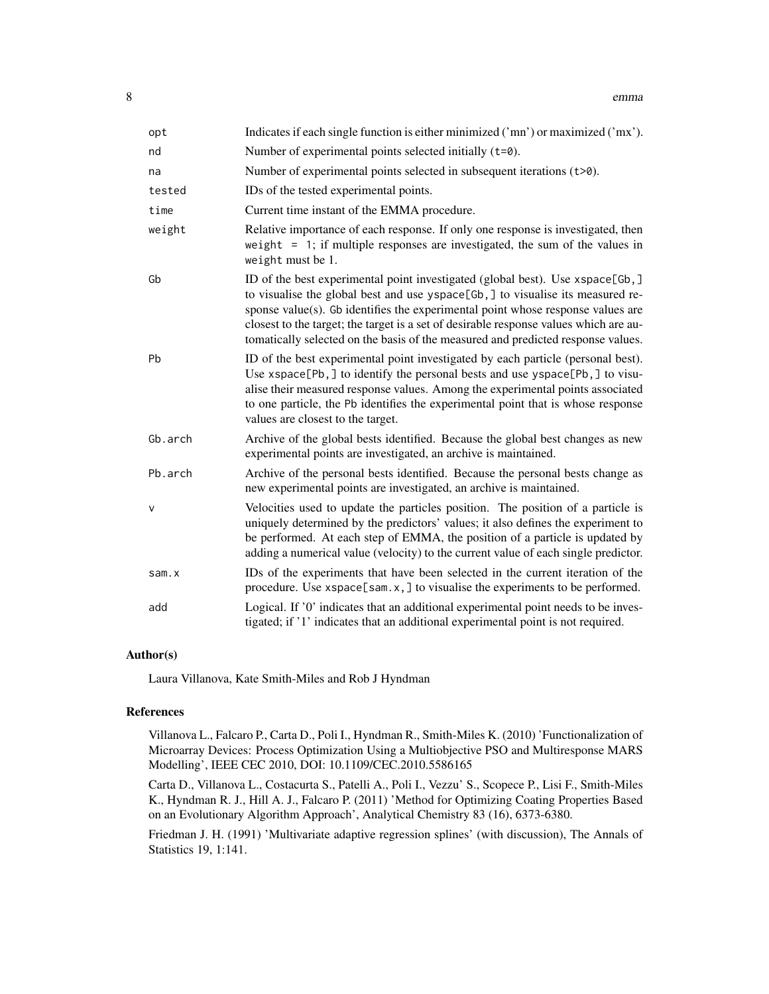| opt     | Indicates if each single function is either minimized ('mn') or maximized ('mx').                                                                                                                                                                                                                                                                                                                                               |
|---------|---------------------------------------------------------------------------------------------------------------------------------------------------------------------------------------------------------------------------------------------------------------------------------------------------------------------------------------------------------------------------------------------------------------------------------|
| nd      | Number of experimental points selected initially $(t=0)$ .                                                                                                                                                                                                                                                                                                                                                                      |
| na      | Number of experimental points selected in subsequent iterations $(t>0)$ .                                                                                                                                                                                                                                                                                                                                                       |
| tested  | IDs of the tested experimental points.                                                                                                                                                                                                                                                                                                                                                                                          |
| time    | Current time instant of the EMMA procedure.                                                                                                                                                                                                                                                                                                                                                                                     |
| weight  | Relative importance of each response. If only one response is investigated, then<br>weight = 1; if multiple responses are investigated, the sum of the values in<br>weight must be 1.                                                                                                                                                                                                                                           |
| Gb      | ID of the best experimental point investigated (global best). Use xspace[Gb,]<br>to visualise the global best and use yspace[Gb,] to visualise its measured re-<br>sponse value(s). Gb identifies the experimental point whose response values are<br>closest to the target; the target is a set of desirable response values which are au-<br>tomatically selected on the basis of the measured and predicted response values. |
| Pb      | ID of the best experimental point investigated by each particle (personal best).<br>Use xspace[Pb,] to identify the personal bests and use yspace[Pb,] to visu-<br>alise their measured response values. Among the experimental points associated<br>to one particle, the Pb identifies the experimental point that is whose response<br>values are closest to the target.                                                      |
| Gb.arch | Archive of the global bests identified. Because the global best changes as new<br>experimental points are investigated, an archive is maintained.                                                                                                                                                                                                                                                                               |
| Pb.arch | Archive of the personal bests identified. Because the personal bests change as<br>new experimental points are investigated, an archive is maintained.                                                                                                                                                                                                                                                                           |
| v       | Velocities used to update the particles position. The position of a particle is<br>uniquely determined by the predictors' values; it also defines the experiment to<br>be performed. At each step of EMMA, the position of a particle is updated by<br>adding a numerical value (velocity) to the current value of each single predictor.                                                                                       |
| sam.x   | IDs of the experiments that have been selected in the current iteration of the<br>procedure. Use $x$ space[sam.x,] to visualise the experiments to be performed.                                                                                                                                                                                                                                                                |
| add     | Logical. If '0' indicates that an additional experimental point needs to be inves-<br>tigated; if '1' indicates that an additional experimental point is not required.                                                                                                                                                                                                                                                          |

#### Author(s)

Laura Villanova, Kate Smith-Miles and Rob J Hyndman

# References

Villanova L., Falcaro P., Carta D., Poli I., Hyndman R., Smith-Miles K. (2010) 'Functionalization of Microarray Devices: Process Optimization Using a Multiobjective PSO and Multiresponse MARS Modelling', IEEE CEC 2010, DOI: 10.1109/CEC.2010.5586165

Carta D., Villanova L., Costacurta S., Patelli A., Poli I., Vezzu' S., Scopece P., Lisi F., Smith-Miles K., Hyndman R. J., Hill A. J., Falcaro P. (2011) 'Method for Optimizing Coating Properties Based on an Evolutionary Algorithm Approach', Analytical Chemistry 83 (16), 6373-6380.

Friedman J. H. (1991) 'Multivariate adaptive regression splines' (with discussion), The Annals of Statistics 19, 1:141.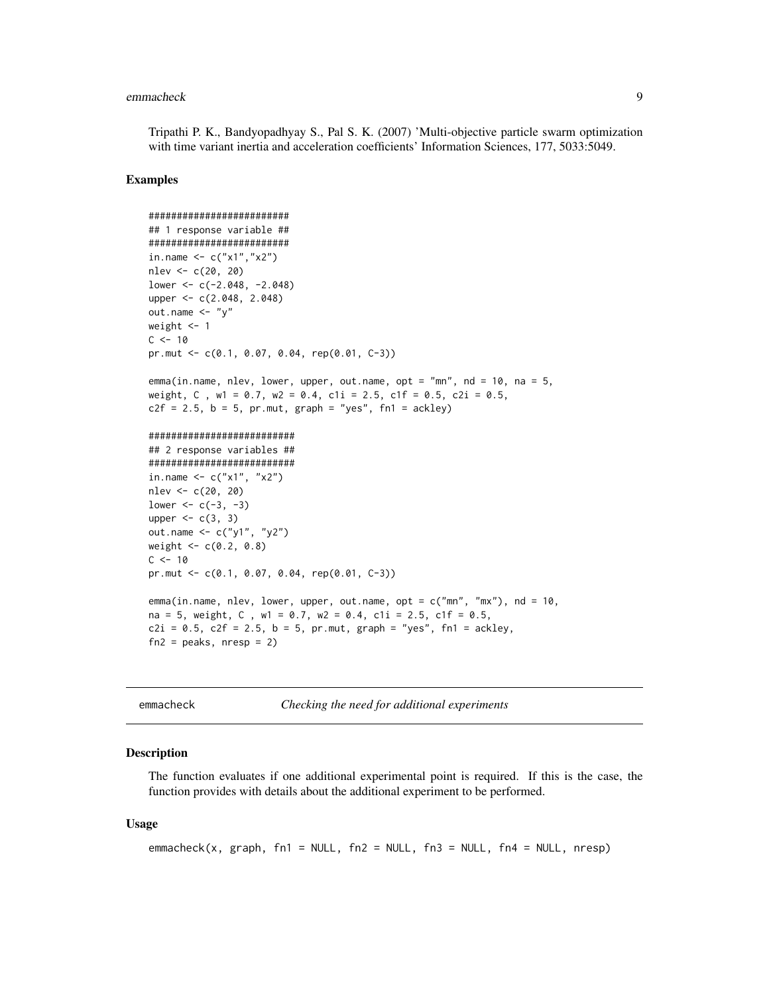#### <span id="page-8-0"></span>emmacheck 9

Tripathi P. K., Bandyopadhyay S., Pal S. K. (2007) 'Multi-objective particle swarm optimization with time variant inertia and acceleration coefficients' Information Sciences, 177, 5033:5049.

#### Examples

```
#########################
## 1 response variable ##
#########################
in.name <- c("x1","x2")
nlev <- c(20, 20)
lower <- c(-2.048, -2.048)
upper <- c(2.048, 2.048)
out.name \leq - "y"
weight <- 1
C < -10pr.mut <- c(0.1, 0.07, 0.04, rep(0.01, C-3))
emma(in.name, nlev, lower, upper, out.name, opt = "mn", nd = 10, na = 5,
weight, C, w1 = 0.7, w2 = 0.4, c1i = 2.5, c1f = 0.5, c2i = 0.5,
c2f = 2.5, b = 5, pr.mut, graph = "yes", fn1 = ackley)##########################
## 2 response variables ##
##########################
in.name <-c("x1", "x2")nlev <- c(20, 20)
lower <- c(-3, -3)upper <-c(3, 3)out.name <- c("y1", "y2")
weight <-c(0.2, 0.8)C < -10pr.mut <- c(0.1, 0.07, 0.04, rep(0.01, C-3))
emma(in.name, nlev, lower, upper, out.name, opt = c("mn", "mx"), nd = 10,
na = 5, weight, C , w1 = 0.7, w2 = 0.4, c1i = 2.5, c1f = 0.5,
c2i = 0.5, c2f = 2.5, b = 5, pr.mut, graph = "yes", fn1 = ackley,
fn2 = peaks, nresp = 2)
```
<span id="page-8-1"></span>emmacheck *Checking the need for additional experiments*

#### Description

The function evaluates if one additional experimental point is required. If this is the case, the function provides with details about the additional experiment to be performed.

#### Usage

```
emmacheck(x, graph, fn1 = NULL, fn2 = NULL, fn3 = NULL, fn4 = NULL, nresp)
```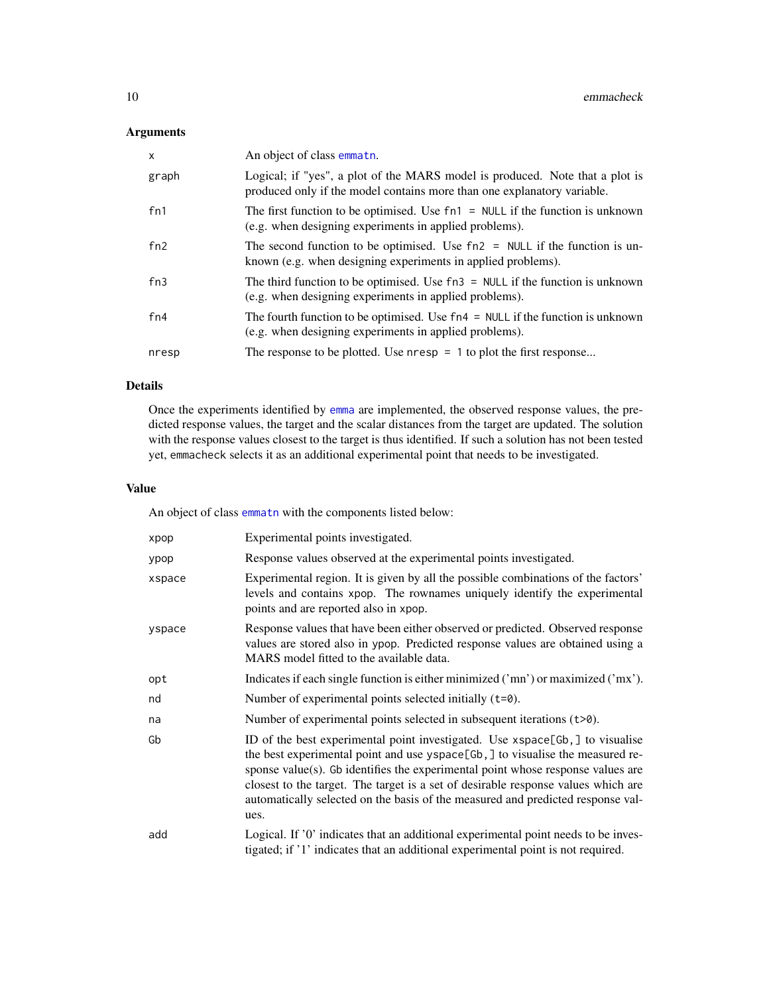# <span id="page-9-0"></span>Arguments

| $\mathsf{x}$ | An object of class emmath.                                                                                                                              |
|--------------|---------------------------------------------------------------------------------------------------------------------------------------------------------|
| graph        | Logical; if "yes", a plot of the MARS model is produced. Note that a plot is<br>produced only if the model contains more than one explanatory variable. |
| fn1          | The first function to be optimised. Use $fn1 = NULL$ if the function is unknown<br>(e.g. when designing experiments in applied problems).               |
| fn2          | The second function to be optimised. Use $fn2 = NULL$ if the function is un-<br>known (e.g. when designing experiments in applied problems).            |
| fn3          | The third function to be optimised. Use $fn3 = NULL$ if the function is unknown<br>(e.g. when designing experiments in applied problems).               |
| fn4          | The fourth function to be optimised. Use $fn4 = NULL$ if the function is unknown<br>(e.g. when designing experiments in applied problems).              |
| nresp        | The response to be plotted. Use $n$ resp = 1 to plot the first response                                                                                 |

#### Details

Once the experiments identified by [emma](#page-4-1) are implemented, the observed response values, the predicted response values, the target and the scalar distances from the target are updated. The solution with the response values closest to the target is thus identified. If such a solution has not been tested yet, emmacheck selects it as an additional experimental point that needs to be investigated.

#### Value

An object of class [emmatn](#page-13-1) with the components listed below:

| xpop   | Experimental points investigated.                                                                                                                                                                                                                                                                                                                                                                                                |
|--------|----------------------------------------------------------------------------------------------------------------------------------------------------------------------------------------------------------------------------------------------------------------------------------------------------------------------------------------------------------------------------------------------------------------------------------|
| ypop   | Response values observed at the experimental points investigated.                                                                                                                                                                                                                                                                                                                                                                |
| xspace | Experimental region. It is given by all the possible combinations of the factors'<br>levels and contains xpop. The rownames uniquely identify the experimental<br>points and are reported also in xpop.                                                                                                                                                                                                                          |
| yspace | Response values that have been either observed or predicted. Observed response<br>values are stored also in ypop. Predicted response values are obtained using a<br>MARS model fitted to the available data.                                                                                                                                                                                                                     |
| opt    | Indicates if each single function is either minimized ('mn') or maximized ('mx').                                                                                                                                                                                                                                                                                                                                                |
| nd     | Number of experimental points selected initially $(t=0)$ .                                                                                                                                                                                                                                                                                                                                                                       |
| na     | Number of experimental points selected in subsequent iterations $(t>0)$ .                                                                                                                                                                                                                                                                                                                                                        |
| Gb     | ID of the best experimental point investigated. Use xspace[Gb,] to visualise<br>the best experimental point and use yspace[Gb,] to visualise the measured re-<br>sponse value(s). Gb identifies the experimental point whose response values are<br>closest to the target. The target is a set of desirable response values which are<br>automatically selected on the basis of the measured and predicted response val-<br>ues. |
| add    | Logical. If '0' indicates that an additional experimental point needs to be inves-<br>tigated; if '1' indicates that an additional experimental point is not required.                                                                                                                                                                                                                                                           |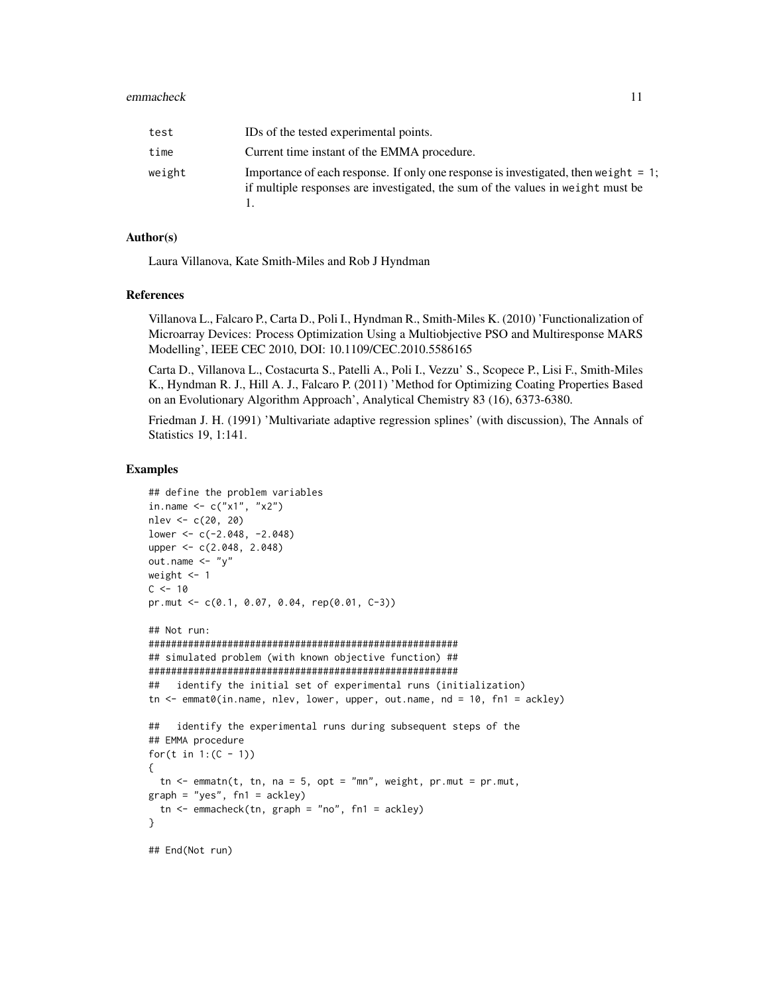#### emmacheck 11

| test   | IDs of the tested experimental points.                                                                                                                                     |
|--------|----------------------------------------------------------------------------------------------------------------------------------------------------------------------------|
| time   | Current time instant of the EMMA procedure.                                                                                                                                |
| weight | Importance of each response. If only one response is investigated, then we ight $= 1$ ;<br>if multiple responses are investigated, the sum of the values in weight must be |

#### Author(s)

Laura Villanova, Kate Smith-Miles and Rob J Hyndman

#### References

Villanova L., Falcaro P., Carta D., Poli I., Hyndman R., Smith-Miles K. (2010) 'Functionalization of Microarray Devices: Process Optimization Using a Multiobjective PSO and Multiresponse MARS Modelling', IEEE CEC 2010, DOI: 10.1109/CEC.2010.5586165

Carta D., Villanova L., Costacurta S., Patelli A., Poli I., Vezzu' S., Scopece P., Lisi F., Smith-Miles K., Hyndman R. J., Hill A. J., Falcaro P. (2011) 'Method for Optimizing Coating Properties Based on an Evolutionary Algorithm Approach', Analytical Chemistry 83 (16), 6373-6380.

Friedman J. H. (1991) 'Multivariate adaptive regression splines' (with discussion), The Annals of Statistics 19, 1:141.

#### Examples

```
## define the problem variables
in.name \leq -c("x1", "x2")nlev <- c(20, 20)
lower <- c(-2.048, -2.048)
upper <- c(2.048, 2.048)
out.name \langle - "y"
weight <-1C < -10pr.mut <- c(0.1, 0.07, 0.04, rep(0.01, C-3))
## Not run:
#######################################################
## simulated problem (with known objective function) ##
#######################################################
## identify the initial set of experimental runs (initialization)
tn \leq emmat0(in.name, nlev, lower, upper, out.name, nd = 10, fn1 = ackley)
## identify the experimental runs during subsequent steps of the
## EMMA procedure
for(t in 1: (C - 1))
{
  tn \leq emmatn(t, tn, na = 5, opt = "mn", weight, pr.mut = pr.mut,
graph = "yes", fn1 = ackley)tn \leq emmacheck(tn, graph = "no", fn1 = ackley)
}
## End(Not run)
```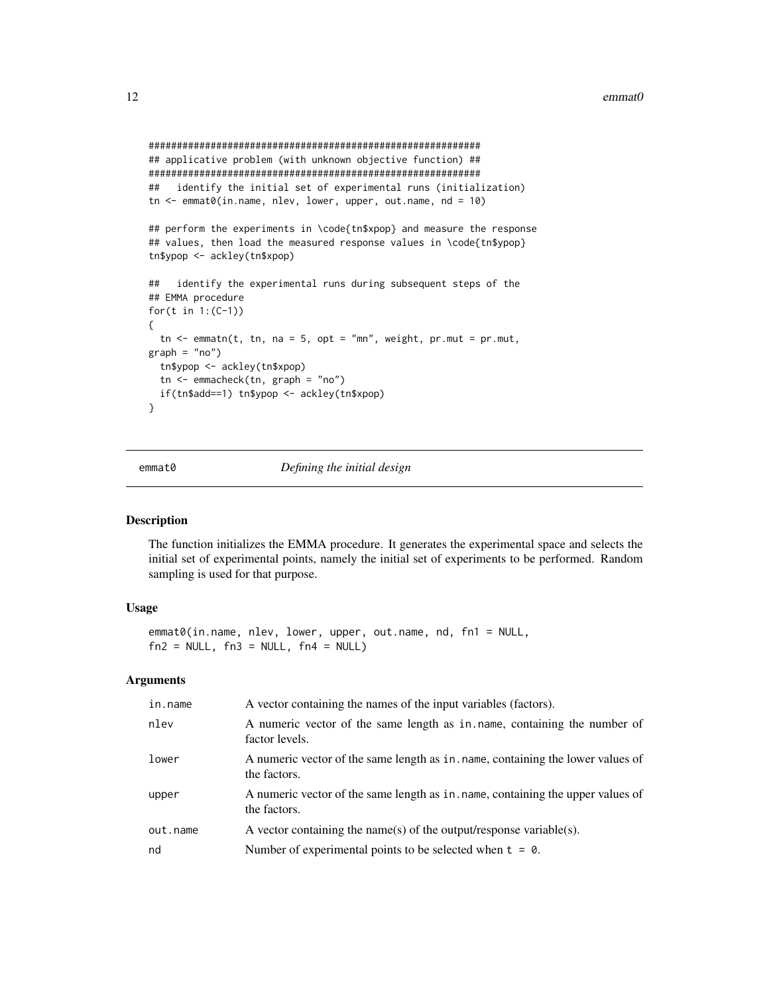```
###########################################################
## applicative problem (with unknown objective function) ##
###########################################################
## identify the initial set of experimental runs (initialization)
tn <- emmat0(in.name, nlev, lower, upper, out.name, nd = 10)
## perform the experiments in \code{tn$xpop} and measure the response
## values, then load the measured response values in \code{tn$ypop}
tn$ypop <- ackley(tn$xpop)
## identify the experimental runs during subsequent steps of the
## EMMA procedure
for(t in 1:(C-1))
{
 tn < - emmatn(t, tn, na = 5, opt = "mn", weight, pr.mut = pr.mut,graph = "no")tn$ypop <- ackley(tn$xpop)
 tn <- emmacheck(tn, graph = "no")
 if(tn$add==1) tn$ypop <- ackley(tn$xpop)
}
```
<span id="page-11-1"></span>

emmat0 *Defining the initial design*

#### Description

The function initializes the EMMA procedure. It generates the experimental space and selects the initial set of experimental points, namely the initial set of experiments to be performed. Random sampling is used for that purpose.

# Usage

```
emmat0(in.name, nlev, lower, upper, out.name, nd, fn1 = NULL,
fn2 = NULL, fn3 = NULL, fn4 = NULL)
```

| in.name  | A vector containing the names of the input variables (factors).                                |
|----------|------------------------------------------------------------------------------------------------|
| nlev     | A numeric vector of the same length as in name, containing the number of<br>factor levels.     |
| lower    | A numeric vector of the same length as in name, containing the lower values of<br>the factors. |
| upper    | A numeric vector of the same length as in name, containing the upper values of<br>the factors. |
| out.name | A vector containing the name(s) of the output/response variable(s).                            |
| nd       | Number of experimental points to be selected when $t = 0$ .                                    |
|          |                                                                                                |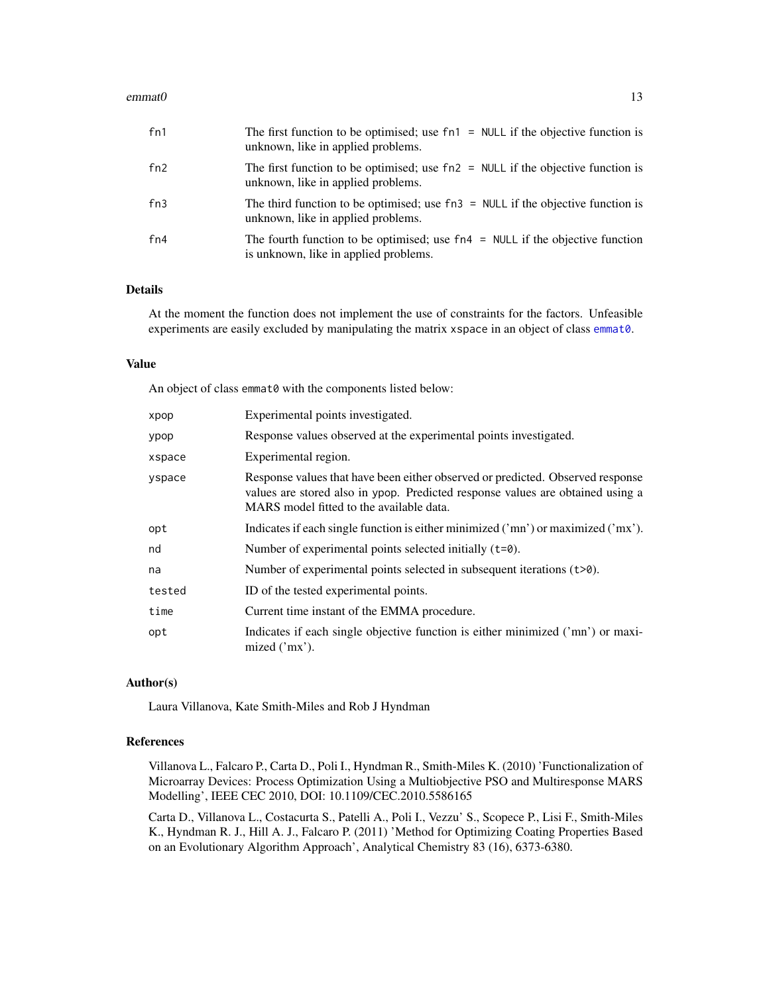#### <span id="page-12-0"></span> $\epsilon$  = emmat0 13

| fn1 | The first function to be optimised; use $fn1 = NULL$ if the objective function is<br>unknown, like in applied problems.  |
|-----|--------------------------------------------------------------------------------------------------------------------------|
| fn2 | The first function to be optimised; use $fn2 = NULL$ if the objective function is<br>unknown, like in applied problems.  |
| fn3 | The third function to be optimised; use $fn3 = NULL$ if the objective function is<br>unknown, like in applied problems.  |
| fn4 | The fourth function to be optimised; use $fn4 = NULL$ if the objective function<br>is unknown, like in applied problems. |

# Details

At the moment the function does not implement the use of constraints for the factors. Unfeasible experiments are easily excluded by manipulating the matrix xspace in an object of class [emmat0](#page-11-1).

#### Value

An object of class emmat0 with the components listed below:

| xpop   | Experimental points investigated.                                                                                                                                                                            |
|--------|--------------------------------------------------------------------------------------------------------------------------------------------------------------------------------------------------------------|
| ypop   | Response values observed at the experimental points investigated.                                                                                                                                            |
| xspace | Experimental region.                                                                                                                                                                                         |
| yspace | Response values that have been either observed or predicted. Observed response<br>values are stored also in ypop. Predicted response values are obtained using a<br>MARS model fitted to the available data. |
| opt    | Indicates if each single function is either minimized ('mn') or maximized ('mx').                                                                                                                            |
| nd     | Number of experimental points selected initially $(t=0)$ .                                                                                                                                                   |
| na     | Number of experimental points selected in subsequent iterations $(t>0)$ .                                                                                                                                    |
| tested | ID of the tested experimental points.                                                                                                                                                                        |
| time   | Current time instant of the EMMA procedure.                                                                                                                                                                  |
| opt    | Indicates if each single objective function is either minimized ('mn') or maxi-<br>mized $('mx').$                                                                                                           |

#### Author(s)

Laura Villanova, Kate Smith-Miles and Rob J Hyndman

#### References

Villanova L., Falcaro P., Carta D., Poli I., Hyndman R., Smith-Miles K. (2010) 'Functionalization of Microarray Devices: Process Optimization Using a Multiobjective PSO and Multiresponse MARS Modelling', IEEE CEC 2010, DOI: 10.1109/CEC.2010.5586165

Carta D., Villanova L., Costacurta S., Patelli A., Poli I., Vezzu' S., Scopece P., Lisi F., Smith-Miles K., Hyndman R. J., Hill A. J., Falcaro P. (2011) 'Method for Optimizing Coating Properties Based on an Evolutionary Algorithm Approach', Analytical Chemistry 83 (16), 6373-6380.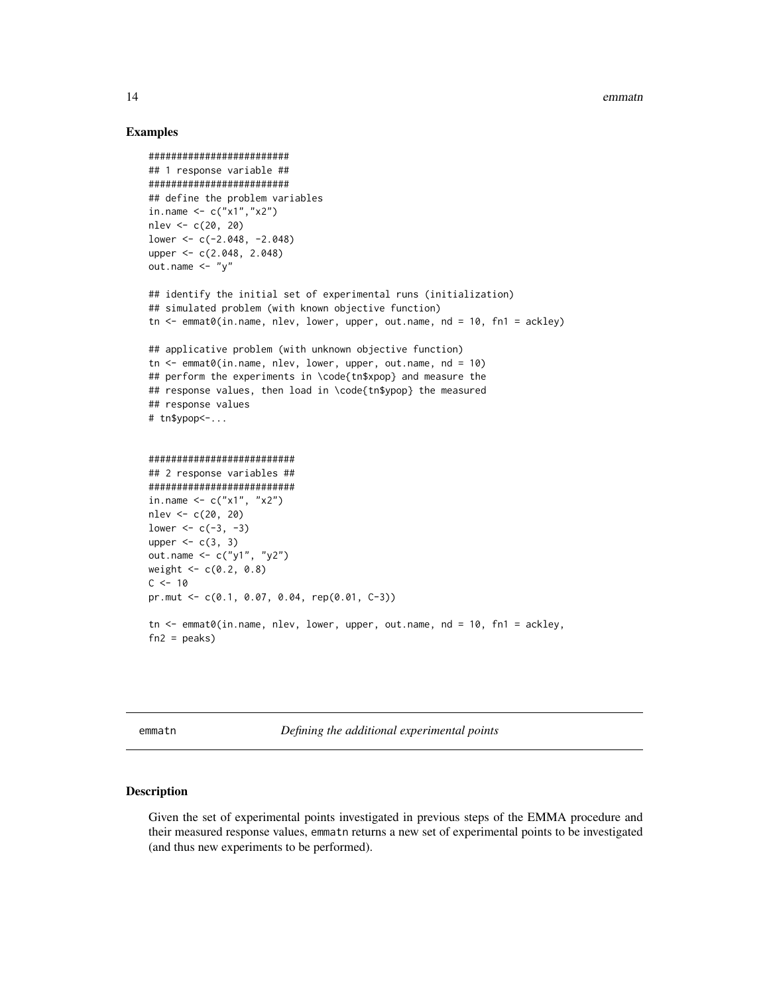#### Examples

```
#########################
## 1 response variable ##
#########################
## define the problem variables
in.name <- c("x1","x2")
nlev <- c(20, 20)
lower <- c(-2.048, -2.048)
upper <- c(2.048, 2.048)
out.name \langle - "y"
## identify the initial set of experimental runs (initialization)
## simulated problem (with known objective function)
tn <- emmat0(in.name, nlev, lower, upper, out.name, nd = 10, fn1 = ackley)
## applicative problem (with unknown objective function)
tn \leq emmat0(in.name, nlev, lower, upper, out.name, nd = 10)
## perform the experiments in \code{tn$xpop} and measure the
## response values, then load in \code{tn$ypop} the measured
## response values
# tn$ypop<-...
##########################
## 2 response variables ##
##########################
in.name \leq -c("x1", "x2")nlev <- c(20, 20)
lower <-c(-3, -3)upper <-c(3, 3)out.name <- c("y1", "y2")
weight <-c(0.2, 0.8)C < -10pr.mut <- c(0.1, 0.07, 0.04, rep(0.01, C-3))
tn <- emmat0(in.name, nlev, lower, upper, out.name, nd = 10, fn1 = ackley,
fn2 = peaks)
```
<span id="page-13-1"></span>emmatn *Defining the additional experimental points*

#### Description

Given the set of experimental points investigated in previous steps of the EMMA procedure and their measured response values, emmatn returns a new set of experimental points to be investigated (and thus new experiments to be performed).

<span id="page-13-0"></span>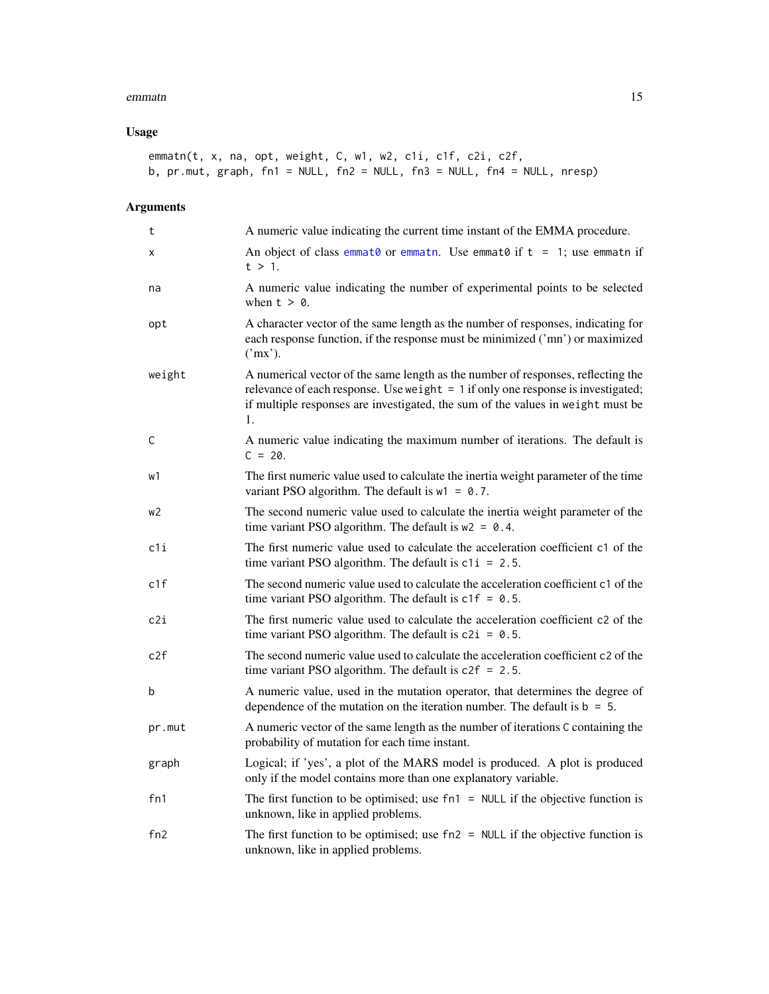#### <span id="page-14-0"></span>emmatn and the contract of the contract of the contract of the contract of the contract of the contract of the contract of the contract of the contract of the contract of the contract of the contract of the contract of the

# Usage

```
emmatn(t, x, na, opt, weight, C, w1, w2, c1i, c1f, c2i, c2f,
b, pr.mut, graph, fn1 = NULL, fn2 = NULL, fn3 = NULL, fn4 = NULL, nresp)
```

| t      | A numeric value indicating the current time instant of the EMMA procedure.                                                                                                                                                                                      |
|--------|-----------------------------------------------------------------------------------------------------------------------------------------------------------------------------------------------------------------------------------------------------------------|
| X      | An object of class emmat0 or emmatn. Use emmat0 if $t = 1$ ; use emmatn if<br>$t > 1$ .                                                                                                                                                                         |
| na     | A numeric value indicating the number of experimental points to be selected<br>when $t > 0$ .                                                                                                                                                                   |
| opt    | A character vector of the same length as the number of responses, indicating for<br>each response function, if the response must be minimized ('mn') or maximized<br>('mx').                                                                                    |
| weight | A numerical vector of the same length as the number of responses, reflecting the<br>relevance of each response. Use weight $= 1$ if only one response is investigated;<br>if multiple responses are investigated, the sum of the values in weight must be<br>1. |
| C      | A numeric value indicating the maximum number of iterations. The default is<br>$C = 20$ .                                                                                                                                                                       |
| w1     | The first numeric value used to calculate the inertia weight parameter of the time<br>variant PSO algorithm. The default is $w1 = 0.7$ .                                                                                                                        |
| w2     | The second numeric value used to calculate the inertia weight parameter of the<br>time variant PSO algorithm. The default is $w2 = 0.4$ .                                                                                                                       |
| c1i    | The first numeric value used to calculate the acceleration coefficient c1 of the<br>time variant PSO algorithm. The default is $c1i = 2.5$ .                                                                                                                    |
| c1f    | The second numeric value used to calculate the acceleration coefficient c1 of the<br>time variant PSO algorithm. The default is $c1f = 0.5$ .                                                                                                                   |
| c2i    | The first numeric value used to calculate the acceleration coefficient c2 of the<br>time variant PSO algorithm. The default is $c2i = 0.5$ .                                                                                                                    |
| c2f    | The second numeric value used to calculate the acceleration coefficient c2 of the<br>time variant PSO algorithm. The default is $c2f = 2.5$ .                                                                                                                   |
| b      | A numeric value, used in the mutation operator, that determines the degree of<br>dependence of the mutation on the iteration number. The default is $b = 5$ .                                                                                                   |
| pr.mut | A numeric vector of the same length as the number of iterations C containing the<br>probability of mutation for each time instant.                                                                                                                              |
| graph  | Logical; if 'yes', a plot of the MARS model is produced. A plot is produced<br>only if the model contains more than one explanatory variable.                                                                                                                   |
| fn1    | The first function to be optimised; use $fn1 = NULL$ if the objective function is<br>unknown, like in applied problems.                                                                                                                                         |
| fn2    | The first function to be optimised; use $fn2 = NULL$ if the objective function is<br>unknown, like in applied problems.                                                                                                                                         |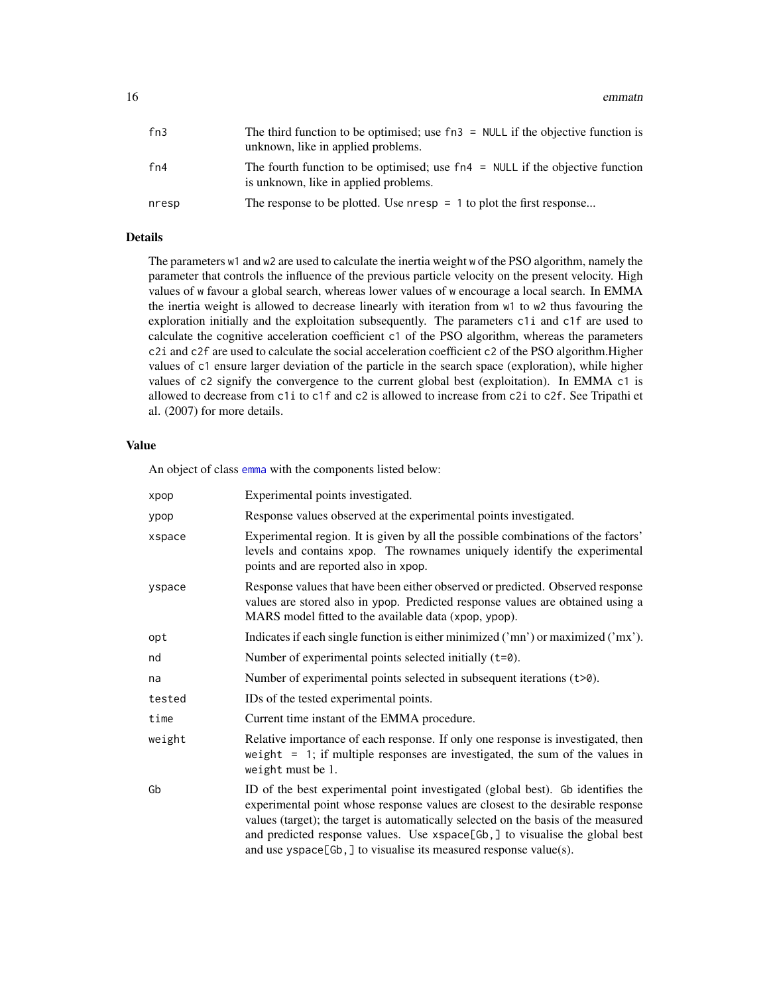<span id="page-15-0"></span>

| fn3   | The third function to be optimised; use $fn3 = NULL$ if the objective function is<br>unknown, like in applied problems.  |
|-------|--------------------------------------------------------------------------------------------------------------------------|
| fn4   | The fourth function to be optimised; use $fn4 = NULL$ if the objective function<br>is unknown, like in applied problems. |
| nresp | The response to be plotted. Use $n$ resp = 1 to plot the first response                                                  |

# Details

The parameters w1 and w2 are used to calculate the inertia weight w of the PSO algorithm, namely the parameter that controls the influence of the previous particle velocity on the present velocity. High values of w favour a global search, whereas lower values of w encourage a local search. In EMMA the inertia weight is allowed to decrease linearly with iteration from w1 to w2 thus favouring the exploration initially and the exploitation subsequently. The parameters c1i and c1f are used to calculate the cognitive acceleration coefficient c1 of the PSO algorithm, whereas the parameters c2i and c2f are used to calculate the social acceleration coefficient c2 of the PSO algorithm.Higher values of c1 ensure larger deviation of the particle in the search space (exploration), while higher values of c2 signify the convergence to the current global best (exploitation). In EMMA c1 is allowed to decrease from c1i to c1f and c2 is allowed to increase from c2i to c2f. See Tripathi et al. (2007) for more details.

#### Value

An object of class [emma](#page-4-1) with the components listed below:

| xpop   | Experimental points investigated.                                                                                                                                                                                                                                                                                                                                                                             |
|--------|---------------------------------------------------------------------------------------------------------------------------------------------------------------------------------------------------------------------------------------------------------------------------------------------------------------------------------------------------------------------------------------------------------------|
| ypop   | Response values observed at the experimental points investigated.                                                                                                                                                                                                                                                                                                                                             |
| xspace | Experimental region. It is given by all the possible combinations of the factors'<br>levels and contains xpop. The rownames uniquely identify the experimental<br>points and are reported also in xpop.                                                                                                                                                                                                       |
| yspace | Response values that have been either observed or predicted. Observed response<br>values are stored also in ypop. Predicted response values are obtained using a<br>MARS model fitted to the available data (xpop, ypop).                                                                                                                                                                                     |
| opt    | Indicates if each single function is either minimized ('mn') or maximized ('mx').                                                                                                                                                                                                                                                                                                                             |
| nd     | Number of experimental points selected initially (t=0).                                                                                                                                                                                                                                                                                                                                                       |
| na     | Number of experimental points selected in subsequent iterations $(t>0)$ .                                                                                                                                                                                                                                                                                                                                     |
| tested | IDs of the tested experimental points.                                                                                                                                                                                                                                                                                                                                                                        |
| time   | Current time instant of the EMMA procedure.                                                                                                                                                                                                                                                                                                                                                                   |
| weight | Relative importance of each response. If only one response is investigated, then<br>weight = 1; if multiple responses are investigated, the sum of the values in<br>weight must be 1.                                                                                                                                                                                                                         |
| Gb     | ID of the best experimental point investigated (global best). Gb identifies the<br>experimental point whose response values are closest to the desirable response<br>values (target); the target is automatically selected on the basis of the measured<br>and predicted response values. Use xspace[Gb,] to visualise the global best<br>and use $yspace[Gb, ]$ to visualise its measured response value(s). |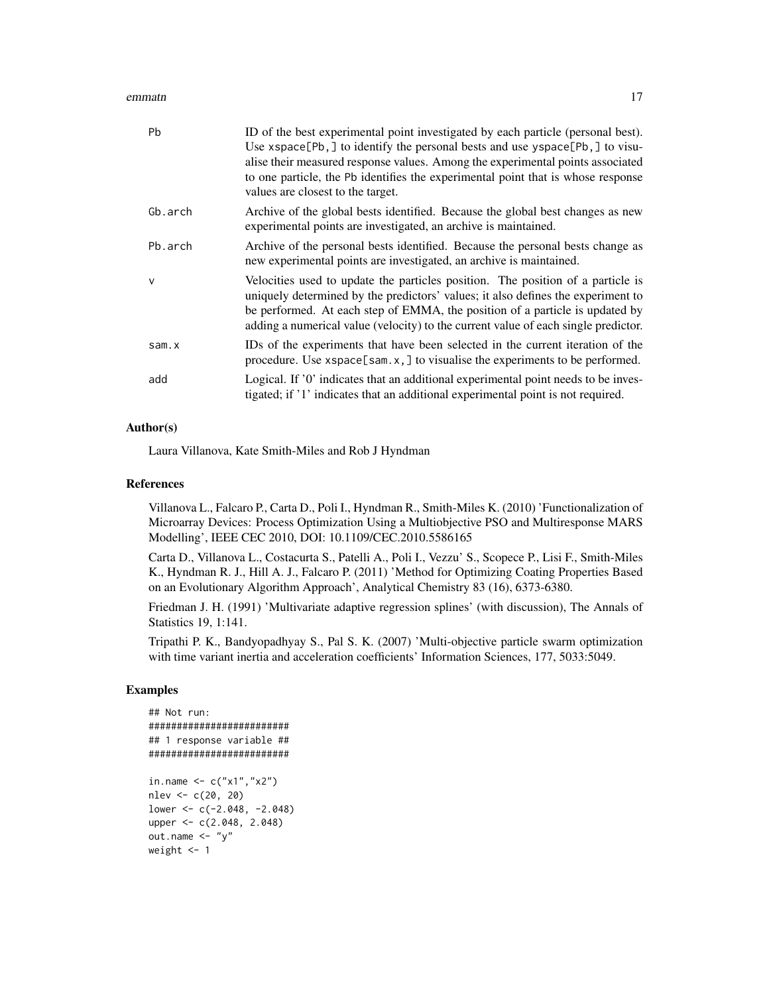#### emmatn and the contract of the contract of the contract of the contract of the contract of the contract of the contract of the contract of the contract of the contract of the contract of the contract of the contract of the

| <b>Pb</b>    | ID of the best experimental point investigated by each particle (personal best).<br>Use xspace[Pb,] to identify the personal bests and use yspace[Pb,] to visu-<br>alise their measured response values. Among the experimental points associated<br>to one particle, the Pb identifies the experimental point that is whose response<br>values are closest to the target. |
|--------------|----------------------------------------------------------------------------------------------------------------------------------------------------------------------------------------------------------------------------------------------------------------------------------------------------------------------------------------------------------------------------|
| Gb.arch      | Archive of the global bests identified. Because the global best changes as new<br>experimental points are investigated, an archive is maintained.                                                                                                                                                                                                                          |
| Pb.arch      | Archive of the personal bests identified. Because the personal bests change as<br>new experimental points are investigated, an archive is maintained.                                                                                                                                                                                                                      |
| $\mathsf{v}$ | Velocities used to update the particles position. The position of a particle is<br>uniquely determined by the predictors' values; it also defines the experiment to<br>be performed. At each step of EMMA, the position of a particle is updated by<br>adding a numerical value (velocity) to the current value of each single predictor.                                  |
| sam.x        | IDs of the experiments that have been selected in the current iteration of the<br>procedure. Use $x$ space[sam.x,] to visualise the experiments to be performed.                                                                                                                                                                                                           |
| add          | Logical. If '0' indicates that an additional experimental point needs to be inves-<br>tigated; if '1' indicates that an additional experimental point is not required.                                                                                                                                                                                                     |

# Author(s)

Laura Villanova, Kate Smith-Miles and Rob J Hyndman

# References

Villanova L., Falcaro P., Carta D., Poli I., Hyndman R., Smith-Miles K. (2010) 'Functionalization of Microarray Devices: Process Optimization Using a Multiobjective PSO and Multiresponse MARS Modelling', IEEE CEC 2010, DOI: 10.1109/CEC.2010.5586165

Carta D., Villanova L., Costacurta S., Patelli A., Poli I., Vezzu' S., Scopece P., Lisi F., Smith-Miles K., Hyndman R. J., Hill A. J., Falcaro P. (2011) 'Method for Optimizing Coating Properties Based on an Evolutionary Algorithm Approach', Analytical Chemistry 83 (16), 6373-6380.

Friedman J. H. (1991) 'Multivariate adaptive regression splines' (with discussion), The Annals of Statistics 19, 1:141.

Tripathi P. K., Bandyopadhyay S., Pal S. K. (2007) 'Multi-objective particle swarm optimization with time variant inertia and acceleration coefficients' Information Sciences, 177, 5033:5049.

# Examples

```
## Not run:
#########################
## 1 response variable ##
#########################
in.name <- c("x1","x2")
nlev <- c(20, 20)
lower <- c(-2.048, -2.048)
upper <- c(2.048, 2.048)
out.name \leftarrow "y"
weight <- 1
```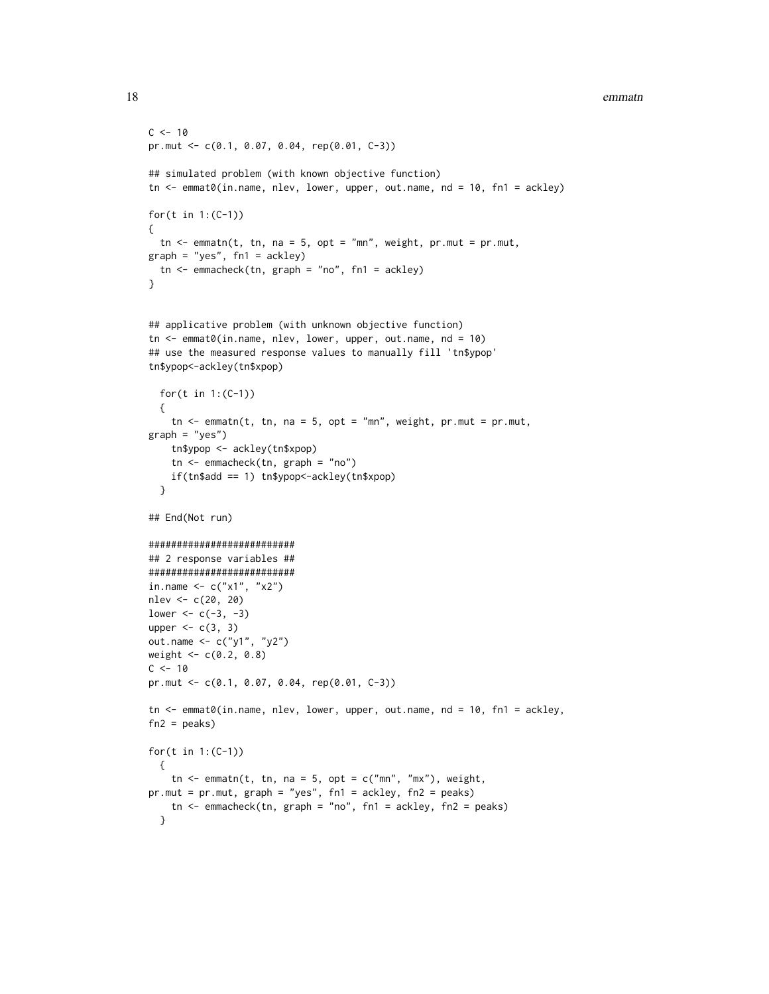```
18 emmatn
```

```
C < -10pr.mut <- c(0.1, 0.07, 0.04, rep(0.01, C-3))
## simulated problem (with known objective function)
tn <- emmat0(in.name, nlev, lower, upper, out.name, nd = 10, fn1 = ackley)
for(t in 1:(C-1))
{
  tn \leq emmatn(t, tn, na = 5, opt = "mn", weight, pr.mut = pr.mut,
graph = "yes", fn1 = ackley)tn <- emmacheck(tn, graph = "no", fn1 = ackley)
}
## applicative problem (with unknown objective function)
tn < - emmat0(in.name, nlev, lower, upper, out.name, nd = 10)
## use the measured response values to manually fill 'tn$ypop'
tn$ypop<-ackley(tn$xpop)
  for(t in 1:(C-1))
  {
    tn \leq emmatn(t, tn, na = 5, opt = "mn", weight, pr.mut = pr.mut,
graph = "yes")
    tn$ypop <- ackley(tn$xpop)
    tn <- emmacheck(tn, graph = "no")
    if(tn$add == 1) tn$ypop<-ackley(tn$xpop)
  }
## End(Not run)
##########################
## 2 response variables ##
##########################
in.name <-c("x1", "x2")nlev <- c(20, 20)
lower <- c(-3, -3)upper <-c(3, 3)out.name <- c("y1", "y2")
weight <- c(0.2, 0.8)
C < -10pr.mut <- c(0.1, 0.07, 0.04, rep(0.01, C-3))
tn <- emmat0(in.name, nlev, lower, upper, out.name, nd = 10, fn1 = ackley,
fn2 = peaks)for(t in 1:(C-1))
  {
   tn \leq emmatn(t, tn, na = 5, opt = c("mn", "mx"), weight,
pr.mut = pr.mut, graph = "yes", fn1 = ackley, fn2 = peaks)
   tn <- emmacheck(tn, graph = "no", fn1 = ackley, fn2 = peaks)
  }
```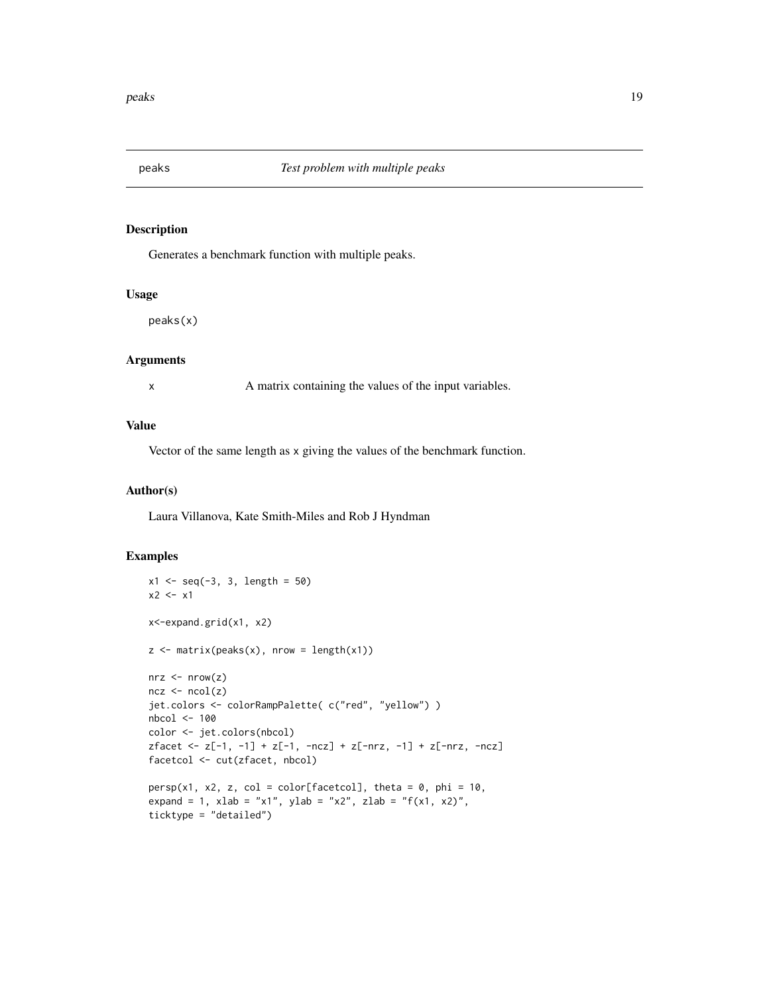<span id="page-18-0"></span>

# Description

Generates a benchmark function with multiple peaks.

#### Usage

peaks(x)

#### Arguments

x A matrix containing the values of the input variables.

### Value

Vector of the same length as x giving the values of the benchmark function.

#### Author(s)

Laura Villanova, Kate Smith-Miles and Rob J Hyndman

#### Examples

```
x1 \leq -\text{seq}(-3, 3, \text{ length} = 50)x2 \leftarrow x1x<-expand.grid(x1, x2)
z \le matrix(peaks(x), nrow = length(x1))
nrz < -nrow(z)ncz < -ncol(z)jet.colors <- colorRampPalette( c("red", "yellow") )
nbcol <- 100
color <- jet.colors(nbcol)
zfacet <- z[-1, -1] + z[-1, -ncz] + z[-nrz, -1] + z[-nrz, -ncz]
facetcol <- cut(zfacet, nbcol)
persp(x1, x2, z, col = color[facetcol], theta = 0, phi = 10,expand = 1, xlab = "x1", ylab = "x2", zlab = "f(x1, x2)",
ticktype = "detailed")
```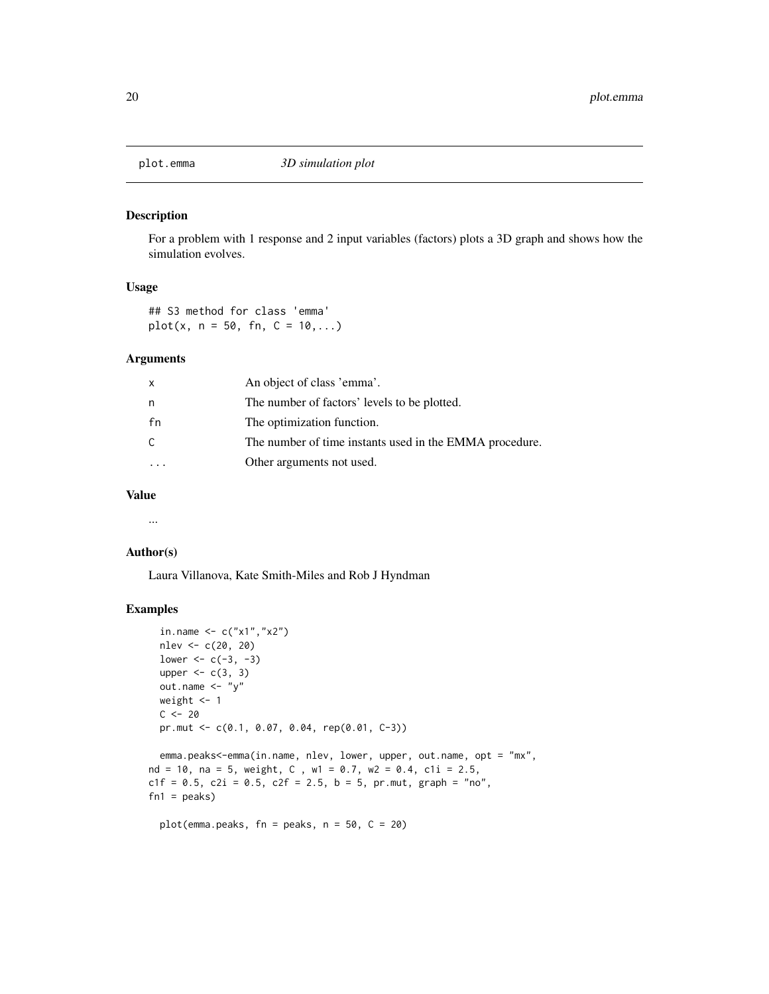<span id="page-19-0"></span>

#### Description

For a problem with 1 response and 2 input variables (factors) plots a 3D graph and shows how the simulation evolves.

#### Usage

## S3 method for class 'emma'  $plot(x, n = 50, fn, C = 10, ...)$ 

#### Arguments

| X  | An object of class 'emma'.                              |
|----|---------------------------------------------------------|
| n  | The number of factors' levels to be plotted.            |
| fn | The optimization function.                              |
| C  | The number of time instants used in the EMMA procedure. |
|    | Other arguments not used.                               |

#### Value

...

#### Author(s)

Laura Villanova, Kate Smith-Miles and Rob J Hyndman

# Examples

```
in.name \leq -c("x1", "x2")nlev <- c(20, 20)
lower <-c(-3, -3)upper <-c(3, 3)out.name \langle - "y"
weight <- 1
C < - 20pr.mut <- c(0.1, 0.07, 0.04, rep(0.01, C-3))
```
emma.peaks<-emma(in.name, nlev, lower, upper, out.name, opt = "mx", nd = 10, na = 5, weight,  $C$ , w1 = 0.7, w2 = 0.4, c1i = 2.5,  $c1f = 0.5$ ,  $c2i = 0.5$ ,  $c2f = 2.5$ ,  $b = 5$ ,  $pr.mut$ ,  $graph = "no",$  $fn1 = peaks)$ 

plot(emma.peaks,  $fn = peaks$ ,  $n = 50$ ,  $C = 20$ )